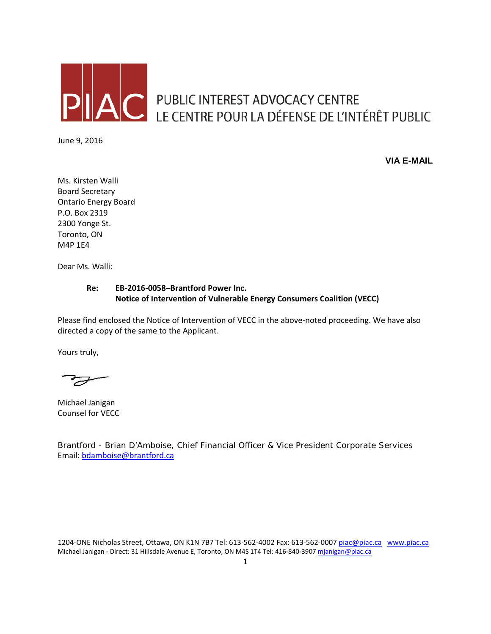

AC PUBLIC INTEREST ADVOCACY CENTRE<br>LE CENTRE POUR LA DÉFENSE DE L'INTÉRÊT PUBLIC

June 9, 2016

**VIA E-MAIL**

Ms. Kirsten Walli Board Secretary Ontario Energy Board P.O. Box 2319 2300 Yonge St. Toronto, ON M4P 1E4

Dear Ms. Walli:

### **Re: EB-2016-0058–Brantford Power Inc. Notice of Intervention of Vulnerable Energy Consumers Coalition (VECC)**

Please find enclosed the Notice of Intervention of VECC in the above-noted proceeding. We have also directed a copy of the same to the Applicant.

Yours truly,

F

Michael Janigan Counsel for VECC

Brantford - Brian D'Amboise, Chief Financial Officer & Vice President Corporate Services Email: [bdamboise@brantford.ca](mailto:bdamboise@brantford.ca)

1204-ONE Nicholas Street, Ottawa, ON K1N 7B7 Tel: 613-562-4002 Fax: 613-562-000[7 piac@piac.ca](mailto:piac@piac.ca) [www.piac.ca](http://www.piac.ca/) Michael Janigan - Direct: 31 Hillsdale Avenue E, Toronto, ON M4S 1T4 Tel: 416-840-390[7 mjanigan@piac.ca](mailto:mjanigan@piac.ca)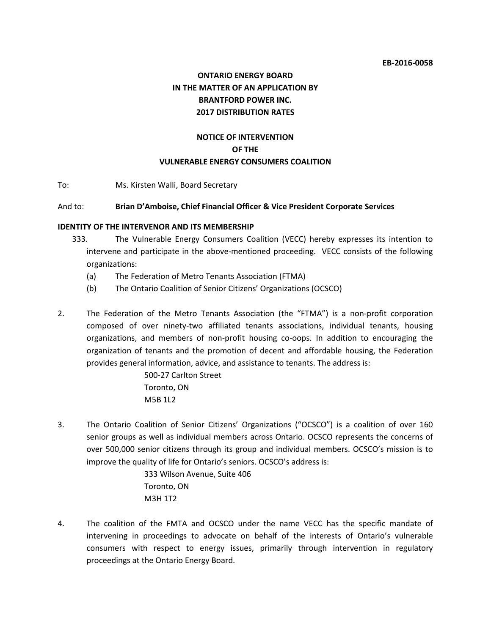# **ONTARIO ENERGY BOARD IN THE MATTER OF AN APPLICATION BY BRANTFORD POWER INC. 2017 DISTRIBUTION RATES**

## **NOTICE OF INTERVENTION OF THE VULNERABLE ENERGY CONSUMERS COALITION**

To: Ms. Kirsten Walli, Board Secretary

#### And to: **Brian D'Amboise, Chief Financial Officer & Vice President Corporate Services**

#### **IDENTITY OF THE INTERVENOR AND ITS MEMBERSHIP**

- 333. The Vulnerable Energy Consumers Coalition (VECC) hereby expresses its intention to intervene and participate in the above-mentioned proceeding. VECC consists of the following organizations:
	- (a) The Federation of Metro Tenants Association (FTMA)
	- (b) The Ontario Coalition of Senior Citizens' Organizations (OCSCO)
- 2. The Federation of the Metro Tenants Association (the "FTMA") is a non-profit corporation composed of over ninety-two affiliated tenants associations, individual tenants, housing organizations, and members of non-profit housing co-oops. In addition to encouraging the organization of tenants and the promotion of decent and affordable housing, the Federation provides general information, advice, and assistance to tenants. The address is:

500-27 Carlton Street Toronto, ON M5B 1L2

3. The Ontario Coalition of Senior Citizens' Organizations ("OCSCO") is a coalition of over 160 senior groups as well as individual members across Ontario. OCSCO represents the concerns of over 500,000 senior citizens through its group and individual members. OCSCO's mission is to improve the quality of life for Ontario's seniors. OCSCO's address is:

> 333 Wilson Avenue, Suite 406 Toronto, ON M3H 1T2

4. The coalition of the FMTA and OCSCO under the name VECC has the specific mandate of intervening in proceedings to advocate on behalf of the interests of Ontario's vulnerable consumers with respect to energy issues, primarily through intervention in regulatory proceedings at the Ontario Energy Board.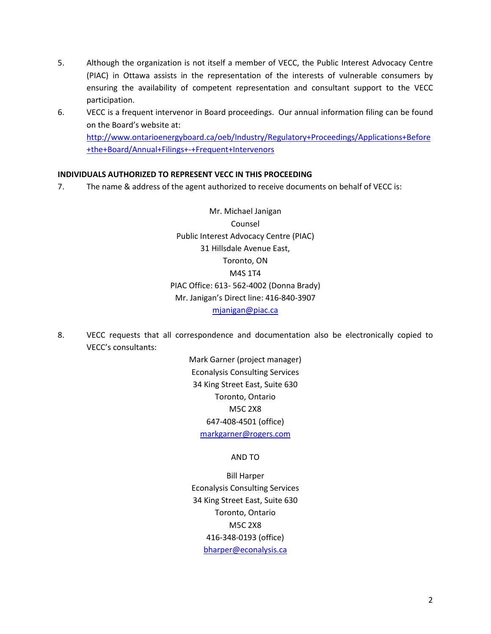- 5. Although the organization is not itself a member of VECC, the Public Interest Advocacy Centre (PIAC) in Ottawa assists in the representation of the interests of vulnerable consumers by ensuring the availability of competent representation and consultant support to the VECC participation.
- 6. VECC is a frequent intervenor in Board proceedings. Our annual information filing can be found on the Board's website at: [http://www.ontarioenergyboard.ca/oeb/Industry/Regulatory+Proceedings/Applications+Before](http://www.ontarioenergyboard.ca/oeb/Industry/Regulatory+Proceedings/Applications+Before+the+Board/Annual+Filings+-+Frequent+Intervenors) [+the+Board/Annual+Filings+-+Frequent+Intervenors](http://www.ontarioenergyboard.ca/oeb/Industry/Regulatory+Proceedings/Applications+Before+the+Board/Annual+Filings+-+Frequent+Intervenors)

#### **INDIVIDUALS AUTHORIZED TO REPRESENT VECC IN THIS PROCEEDING**

7. The name & address of the agent authorized to receive documents on behalf of VECC is:

Mr. Michael Janigan Counsel Public Interest Advocacy Centre (PIAC) 31 Hillsdale Avenue East, Toronto, ON M4S 1T4 PIAC Office: 613- 562-4002 (Donna Brady) Mr. Janigan's Direct line: 416-840-3907 [mjanigan@piac.ca](mailto:mjanigan@piac.ca)

8. VECC requests that all correspondence and documentation also be electronically copied to VECC's consultants:

> Mark Garner (project manager) Econalysis Consulting Services 34 King Street East, Suite 630 Toronto, Ontario M5C 2X8 647-408-4501 (office) [markgarner@rogers.com](mailto:markgarner@rogers.com)

#### AND TO

Bill Harper Econalysis Consulting Services 34 King Street East, Suite 630 Toronto, Ontario M5C 2X8 416-348-0193 (office) [bharper@econalysis.ca](mailto:bharper@econalysis.ca)